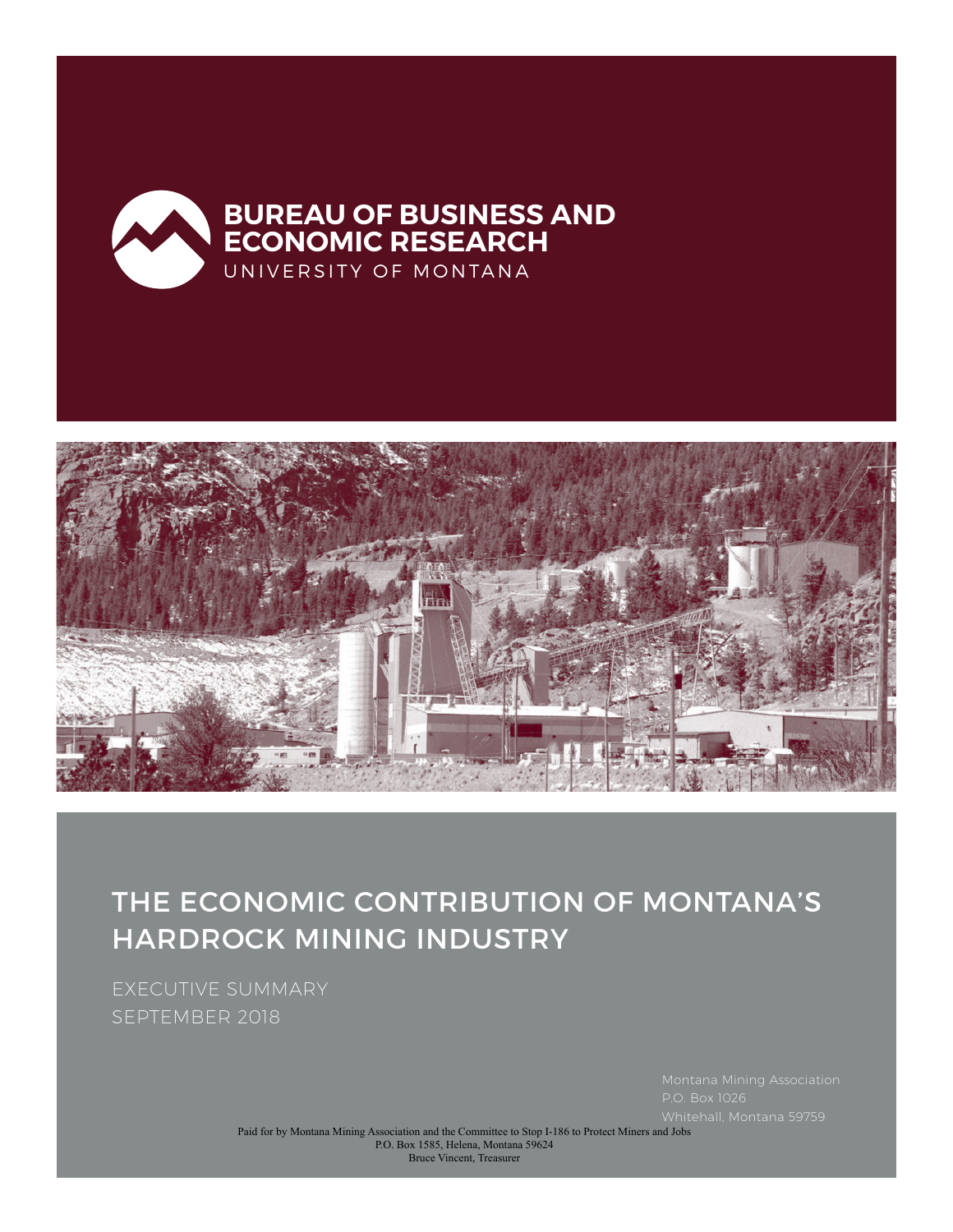



THE ECONOMIC CONTRIBUTION OF MONTANA'S HARDROCK MINING INDUSTRY

EXECUTIVE SUMMARY SEPTEMBER 2018

 $P.O.$  Box 1026

Paid for by Montana Mining Association and the Committee to Stop I-186 to Protect Miners and Jobs P.O. Box 1585, Helena, Montana 59624 Bruce Vincent, Treasurer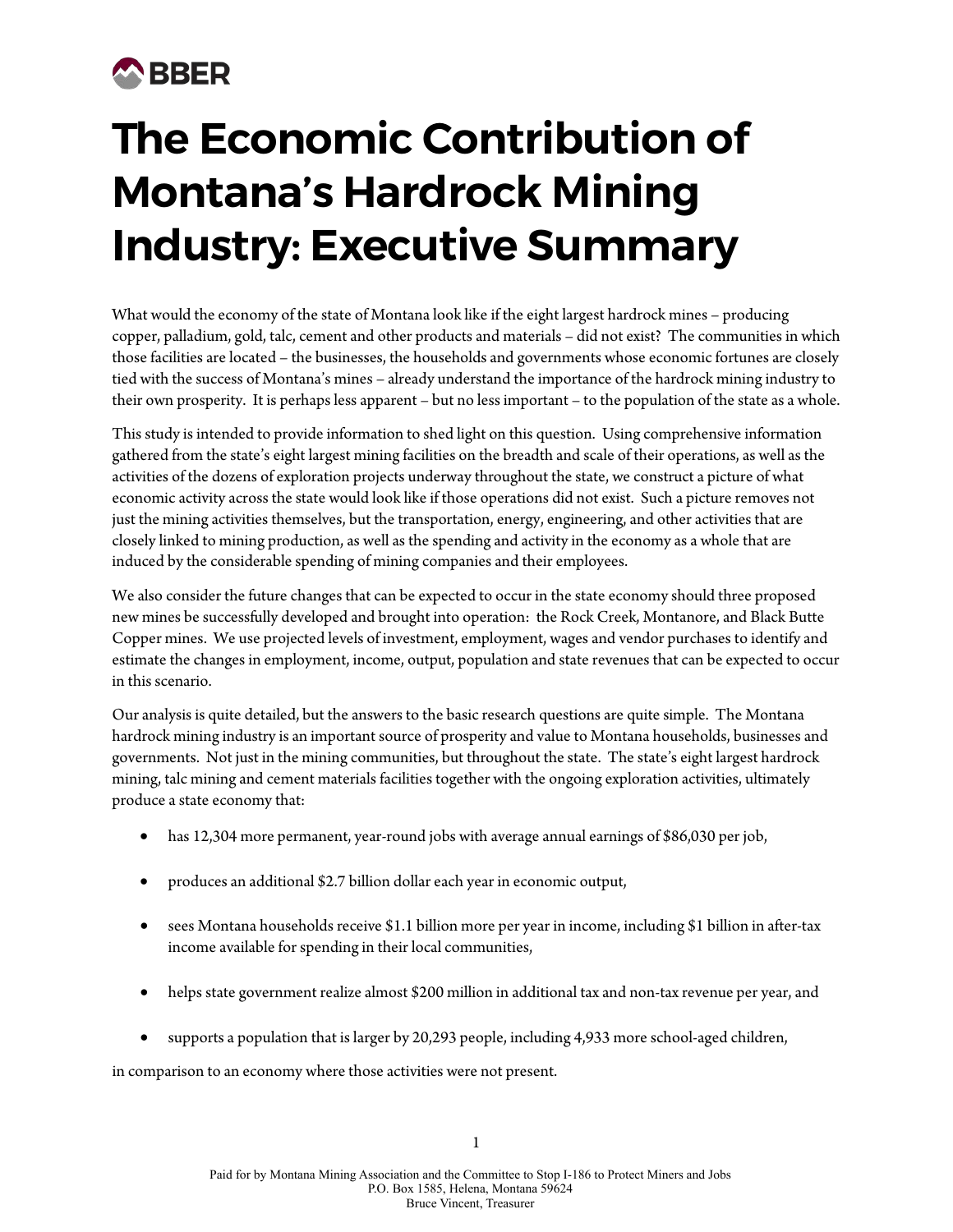## **A**BBER

# **The Economic Contribution of Montana's Hardrock Mining Industry: Executive Summary**

What would the economy of the state of Montana look like if the eight largest hardrock mines – producing copper, palladium, gold, talc, cement and other products and materials – did not exist? The communities in which those facilities are located – the businesses, the households and governments whose economic fortunes are closely tied with the success of Montana's mines – already understand the importance of the hardrock mining industry to their own prosperity. It is perhaps less apparent – but no less important – to the population of the state as a whole.

This study is intended to provide information to shed light on this question. Using comprehensive information gathered from the state's eight largest mining facilities on the breadth and scale of their operations, as well as the activities of the dozens of exploration projects underway throughout the state, we construct a picture of what economic activity across the state would look like if those operations did not exist. Such a picture removes not just the mining activities themselves, but the transportation, energy, engineering, and other activities that are closely linked to mining production, as well as the spending and activity in the economy as a whole that are induced by the considerable spending of mining companies and their employees.

We also consider the future changes that can be expected to occur in the state economy should three proposed new mines be successfully developed and brought into operation: the Rock Creek, Montanore, and Black Butte Copper mines. We use projected levels of investment, employment, wages and vendor purchases to identify and estimate the changes in employment, income, output, population and state revenues that can be expected to occur in this scenario.

Our analysis is quite detailed, but the answers to the basic research questions are quite simple. The Montana hardrock mining industry is an important source of prosperity and value to Montana households, businesses and governments. Not just in the mining communities, but throughout the state. The state's eight largest hardrock mining, talc mining and cement materials facilities together with the ongoing exploration activities, ultimately produce a state economy that:

- has 12,304 more permanent, year-round jobs with average annual earnings of \$86,030 per job,
- produces an additional \$2.7 billion dollar each year in economic output,
- sees Montana households receive \$1.1 billion more per year in income, including \$1 billion in after-tax income available for spending in their local communities,
- helps state government realize almost \$200 million in additional tax and non-tax revenue per year, and
- supports a population that is larger by 20,293 people, including 4,933 more school-aged children,

in comparison to an economy where those activities were not present.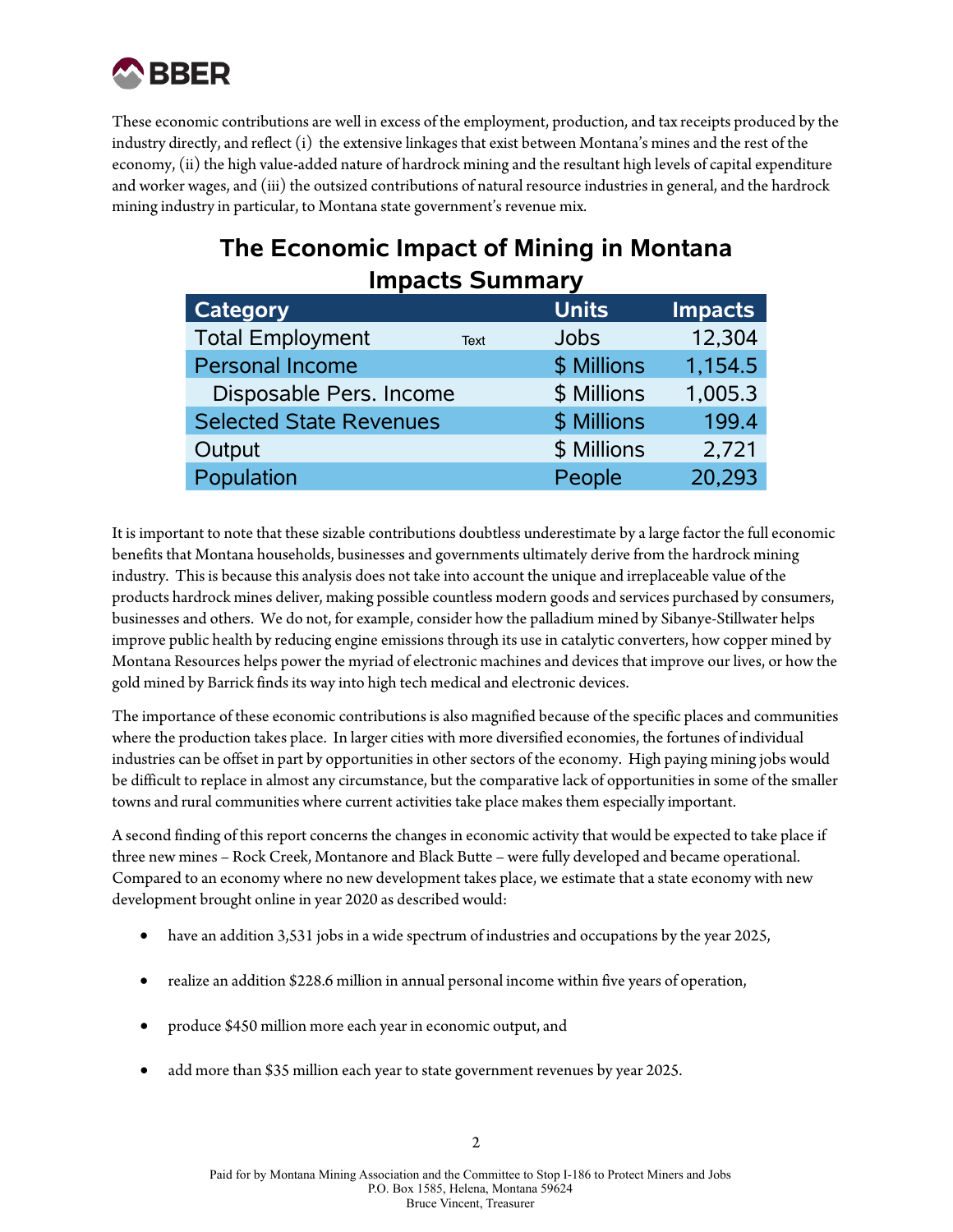

These economic contributions are well in excess of the employment, production, and tax receipts produced by the industry directly, and reflect (i) the extensive linkages that exist between Montana's mines and the rest of the economy, (ii) the high value-added nature of hardrock mining and the resultant high levels of capital expenditure and worker wages, and (iii) the outsized contributions of natural resource industries in general, and the hardrock mining industry in particular, to Montana state government's revenue mix.

## **The Economic Impact of Mining in Montana Impacts Summary**

| <b>Category</b>                |      | <b>Units</b> | <b>Impacts</b> |
|--------------------------------|------|--------------|----------------|
| <b>Total Employment</b>        | Text | <b>Jobs</b>  | 12,304         |
| <b>Personal Income</b>         |      | \$ Millions  | 1,154.5        |
| Disposable Pers. Income        |      | \$ Millions  | 1,005.3        |
| <b>Selected State Revenues</b> |      | \$ Millions  | 199.4          |
| Output                         |      | \$ Millions  | 2,721          |
| Population                     |      | People       | 20,293         |

It is important to note that these sizable contributions doubtless underestimate by a large factor the full economic benefits that Montana households, businesses and governments ultimately derive from the hardrock mining industry. This is because this analysis does not take into account the unique and irreplaceable value of the products hardrock mines deliver, making possible countless modern goods and services purchased by consumers, businesses and others. We do not, for example, consider how the palladium mined by Sibanye-Stillwater helps improve public health by reducing engine emissions through its use in catalytic converters, how copper mined by Montana Resources helps power the myriad of electronic machines and devices that improve our lives, or how the gold mined by Barrick finds its way into high tech medical and electronic devices.

The importance of these economic contributions is also magnified because of the specific places and communities where the production takes place. In larger cities with more diversified economies, the fortunes of individual industries can be offset in part by opportunities in other sectors of the economy. High paying mining jobs would be difficult to replace in almost any circumstance, but the comparative lack of opportunities in some of the smaller towns and rural communities where current activities take place makes them especially important.

A second finding of this report concerns the changes in economic activity that would be expected to take place if three new mines – Rock Creek, Montanore and Black Butte – were fully developed and became operational. Compared to an economy where no new development takes place, we estimate that a state economy with new development brought online in year 2020 as described would:

- have an addition 3,531 jobs in a wide spectrum of industries and occupations by the year 2025,
- realize an addition \$228.6 million in annual personal income within five years of operation,
- produce \$450 million more each year in economic output, and
- add more than \$35 million each year to state government revenues by year 2025.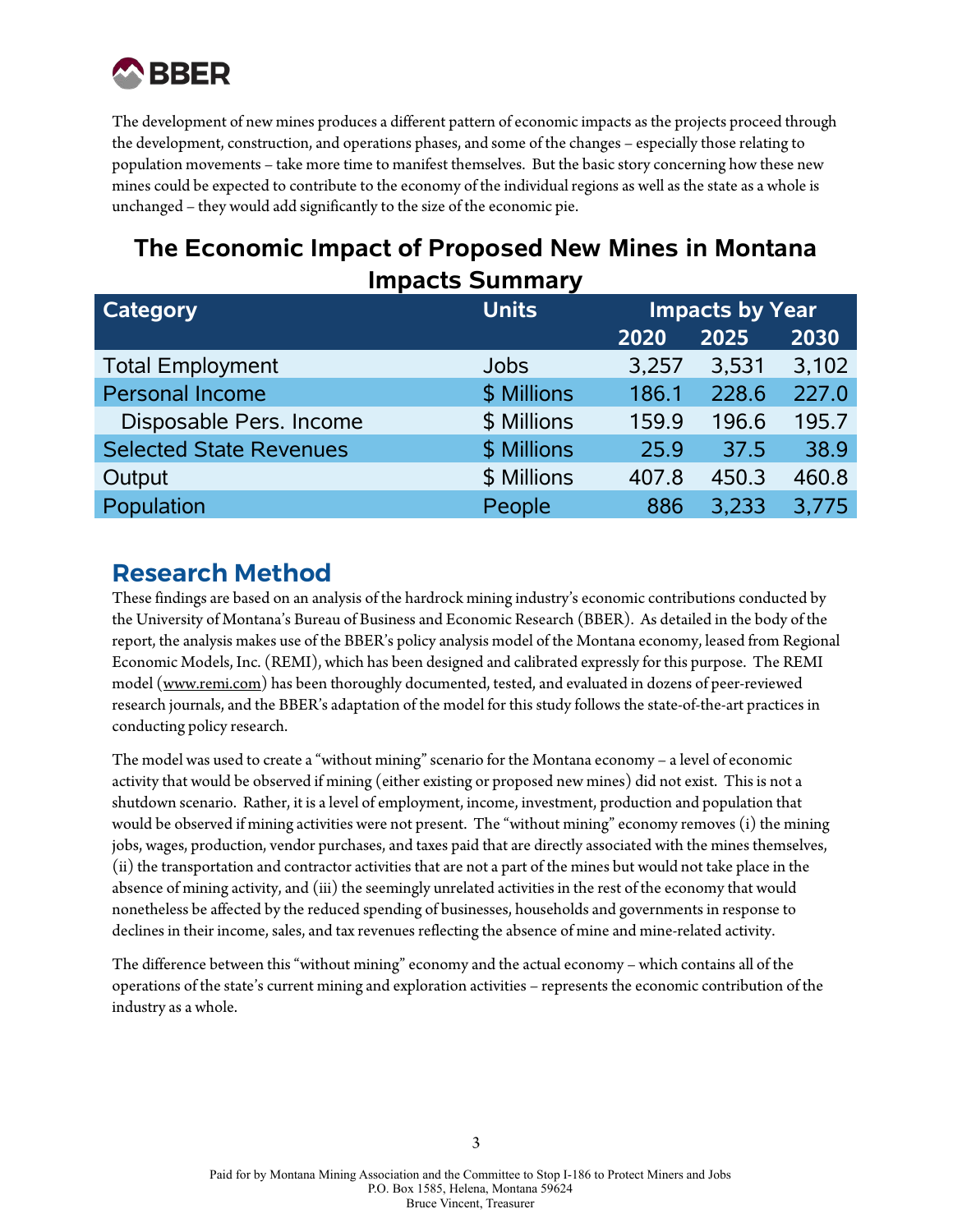

The development of new mines produces a different pattern of economic impacts as the projects proceed through the development, construction, and operations phases, and some of the changes – especially those relating to population movements – take more time to manifest themselves. But the basic story concerning how these new mines could be expected to contribute to the economy of the individual regions as well as the state as a whole is unchanged – they would add significantly to the size of the economic pie.

## **The Economic Impact of Proposed New Mines in Montana Impacts Summary**

| <b>Category</b>                | <b>Units</b> | <b>Impacts by Year</b> |       |       |
|--------------------------------|--------------|------------------------|-------|-------|
|                                |              |                        |       |       |
|                                |              | 2020                   | 2025  | 2030  |
| <b>Total Employment</b>        | <b>Jobs</b>  | 3,257                  | 3,531 | 3,102 |
| <b>Personal Income</b>         | \$ Millions  | 186.1                  | 228.6 | 227.0 |
| Disposable Pers. Income        | \$ Millions  | 159.9                  | 196.6 | 195.7 |
| <b>Selected State Revenues</b> | \$ Millions  | 25.9                   | 37.5  | 38.9  |
| Output                         | \$ Millions  | 407.8                  | 450.3 | 460.8 |
| Population                     | People       | 886                    | 3,233 | 3,775 |

#### **Research Method**

These findings are based on an analysis of the hardrock mining industry's economic contributions conducted by the University of Montana's Bureau of Business and Economic Research (BBER). As detailed in the body of the report, the analysis makes use of the BBER's policy analysis model of the Montana economy, leased from Regional Economic Models, Inc. (REMI), which has been designed and calibrated expressly for this purpose. The REMI model (www.remi.com) has been thoroughly documented, tested, and evaluated in dozens of peer-reviewed research journals, and the BBER's adaptation of the model for this study follows the state-of-the-art practices in conducting policy research.

The model was used to create a "without mining" scenario for the Montana economy – a level of economic activity that would be observed if mining (either existing or proposed new mines) did not exist. This is not a shutdown scenario. Rather, it is a level of employment, income, investment, production and population that would be observed if mining activities were not present. The "without mining" economy removes (i) the mining jobs, wages, production, vendor purchases, and taxes paid that are directly associated with the mines themselves, (ii) the transportation and contractor activities that are not a part of the mines but would not take place in the absence of mining activity, and (iii) the seemingly unrelated activities in the rest of the economy that would nonetheless be affected by the reduced spending of businesses, households and governments in response to declines in their income, sales, and tax revenues reflecting the absence of mine and mine-related activity.

The difference between this "without mining" economy and the actual economy – which contains all of the operations of the state's current mining and exploration activities – represents the economic contribution of the industry as a whole.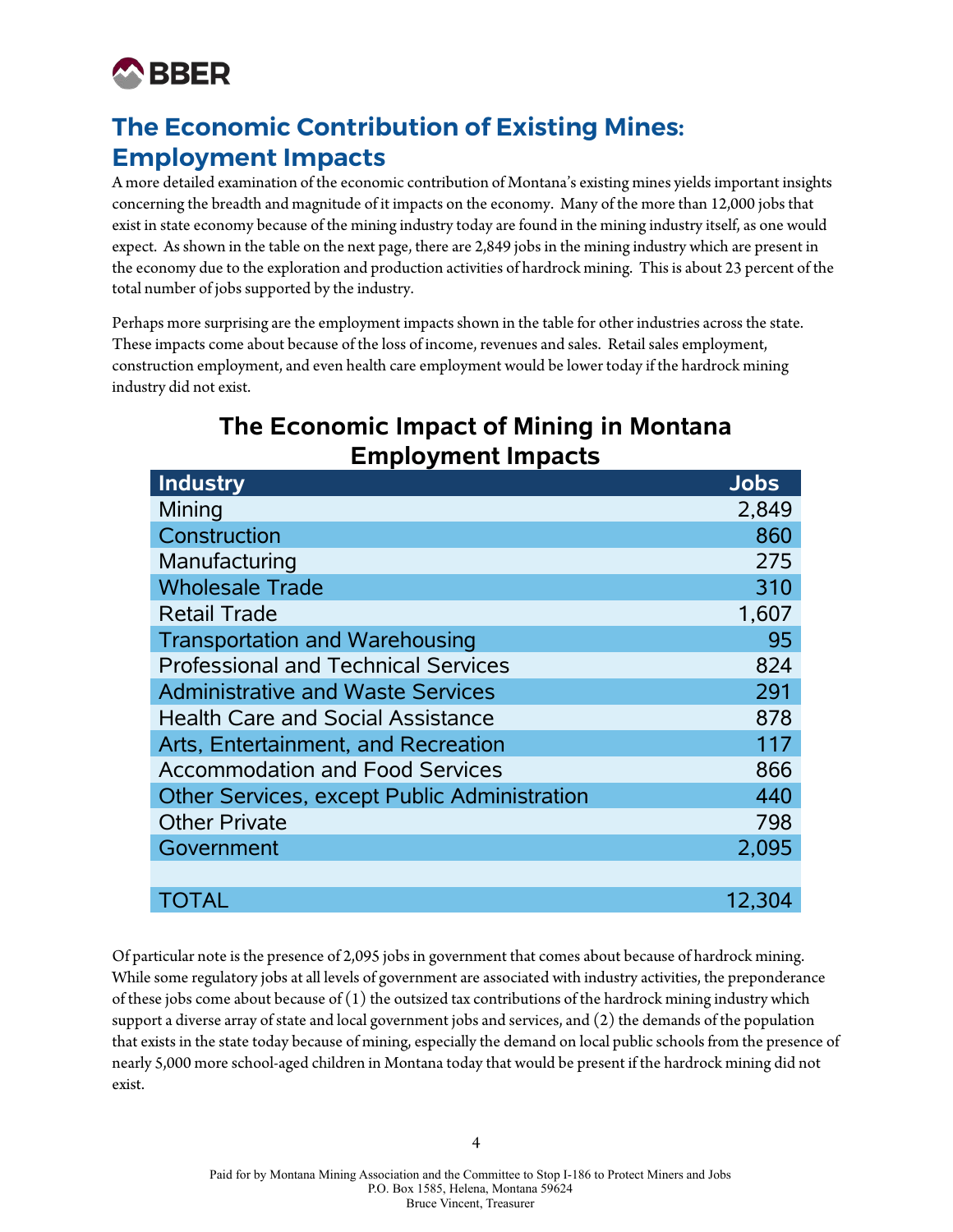

## **The Economic Contribution of Existing Mines: Employment Impacts**

A more detailed examination of the economic contribution of Montana's existing mines yields important insights concerning the breadth and magnitude of it impacts on the economy. Many of the more than 12,000 jobs that exist in state economy because of the mining industry today are found in the mining industry itself, as one would expect. As shown in the table on the next page, there are 2,849 jobs in the mining industry which are present in the economy due to the exploration and production activities of hardrock mining. This is about 23 percent of the total number of jobs supported by the industry.

Perhaps more surprising are the employment impacts shown in the table for other industries across the state. These impacts come about because of the loss of income, revenues and sales. Retail sales employment, construction employment, and even health care employment would be lower today if the hardrock mining industry did not exist.

#### **The Economic Impact of Mining in Montana Employment Impacts**

| Industry                                            | <b>Jobs</b> |
|-----------------------------------------------------|-------------|
| Mining                                              | 2,849       |
| Construction                                        | 860         |
| Manufacturing                                       | 275         |
| <b>Wholesale Trade</b>                              | 310         |
| <b>Retail Trade</b>                                 | 1,607       |
| <b>Transportation and Warehousing</b>               | 95          |
| <b>Professional and Technical Services</b>          | 824         |
| <b>Administrative and Waste Services</b>            | 291         |
| <b>Health Care and Social Assistance</b>            | 878         |
| Arts, Entertainment, and Recreation                 | 117         |
| <b>Accommodation and Food Services</b>              | 866         |
| <b>Other Services, except Public Administration</b> | 440         |
| <b>Other Private</b>                                | 798         |
| Government                                          | 2,095       |
|                                                     |             |
| <b>TOTAL</b>                                        | 12,304      |

Of particular note is the presence of 2,095 jobs in government that comes about because of hardrock mining. While some regulatory jobs at all levels of government are associated with industry activities, the preponderance of these jobs come about because of  $(1)$  the outsized tax contributions of the hardrock mining industry which support a diverse array of state and local government jobs and services, and (2) the demands of the population that exists in the state today because of mining, especially the demand on local public schools from the presence of nearly 5,000 more school-aged children in Montana today that would be present if the hardrock mining did not exist.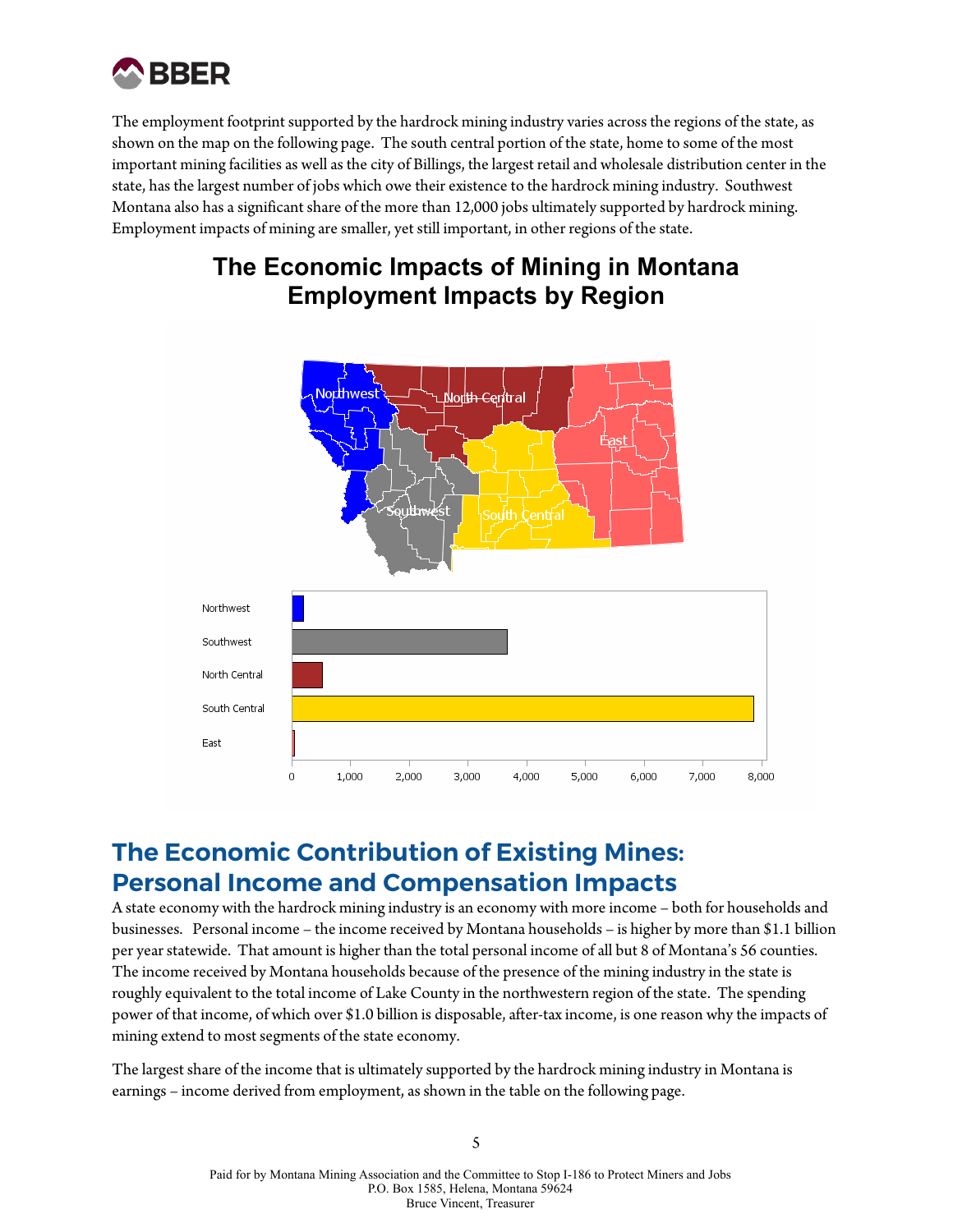

The employment footprint supported by the hardrock mining industry varies across the regions of the state, as shown on the map on the following page. The south central portion of the state, home to some of the most important mining facilities as well as the city of Billings, the largest retail and wholesale distribution center in the state, has the largest number of jobs which owe their existence to the hardrock mining industry. Southwest Montana also has a significant share of the more than 12,000 jobs ultimately supported by hardrock mining. Employment impacts of mining are smaller, yet still important, in other regions of the state.

#### **The Economic Impacts of Mining in Montana Employment Impacts by Region**



### **The Economic Contribution of Existing Mines: Personal Income and Compensation Impacts**

A state economy with the hardrock mining industry is an economy with more income – both for households and businesses. Personal income – the income received by Montana households – is higher by more than \$1.1 billion per year statewide. That amount is higher than the total personal income of all but 8 of Montana's 56 counties. The income received by Montana households because of the presence of the mining industry in the state is roughly equivalent to the total income of Lake County in the northwestern region of the state. The spending power of that income, of which over \$1.0 billion is disposable, after-tax income, is one reason why the impacts of mining extend to most segments of the state economy.

The largest share of the income that is ultimately supported by the hardrock mining industry in Montana is earnings – income derived from employment, as shown in the table on the following page.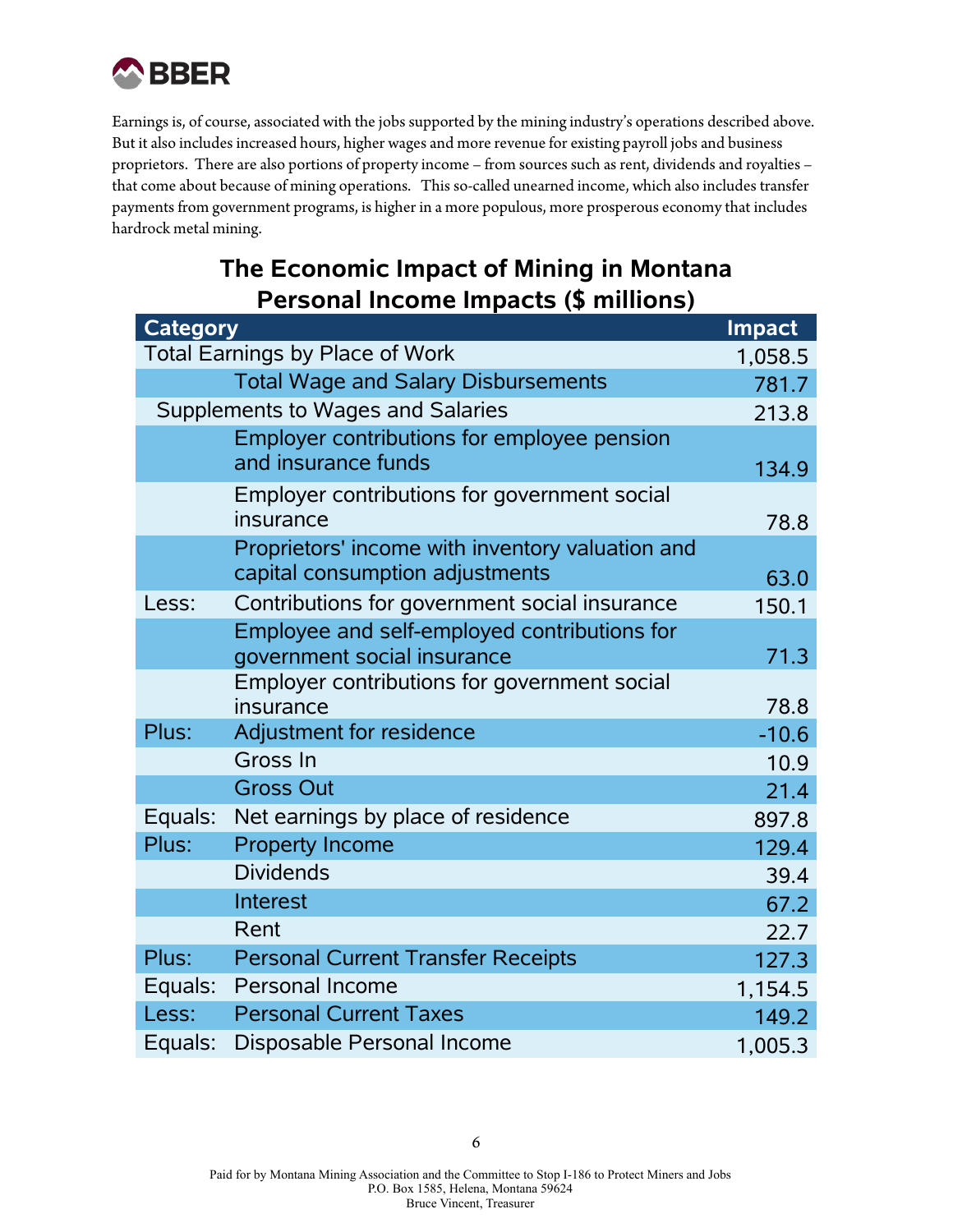

Earnings is, of course, associated with the jobs supported by the mining industry's operations described above. But it also includes increased hours, higher wages and more revenue for existing payroll jobs and business proprietors. There are also portions of property income – from sources such as rent, dividends and royalties – that come about because of mining operations. This so-called unearned income, which also includes transfer payments from government programs, is higher in a more populous, more prosperous economy that includes hardrock metal mining.

#### **The Economic Impact of Mining in Montana Personal Income Impacts (\$ millions)**

| <b>Category</b> |                                                           | <b>Impact</b> |
|-----------------|-----------------------------------------------------------|---------------|
|                 | <b>Total Earnings by Place of Work</b>                    | 1,058.5       |
|                 | <b>Total Wage and Salary Disbursements</b>                | 781.7         |
|                 | Supplements to Wages and Salaries                         | 213.8         |
|                 | Employer contributions for employee pension               |               |
|                 | and insurance funds                                       | 134.9         |
|                 | Employer contributions for government social<br>insurance | 78.8          |
|                 | Proprietors' income with inventory valuation and          |               |
|                 | capital consumption adjustments                           | 63.0          |
| Less:           | Contributions for government social insurance             | 150.1         |
|                 | Employee and self-employed contributions for              |               |
|                 | government social insurance                               | 71.3          |
|                 | Employer contributions for government social              |               |
|                 | insurance                                                 | 78.8          |
| Plus:           | Adjustment for residence                                  | $-10.6$       |
|                 | Gross In                                                  | 10.9          |
|                 | <b>Gross Out</b>                                          | 21.4          |
| Equals:         | Net earnings by place of residence                        | 897.8         |
| Plus:           | <b>Property Income</b>                                    | 129.4         |
|                 | <b>Dividends</b>                                          | 39.4          |
|                 | Interest                                                  | 67.2          |
|                 | Rent                                                      | 22.7          |
| Plus:           | <b>Personal Current Transfer Receipts</b>                 | 127.3         |
| Equals:         | <b>Personal Income</b>                                    | 1,154.5       |
| Less:           | <b>Personal Current Taxes</b>                             | 149.2         |
| Equals:         | Disposable Personal Income                                | 1,005.3       |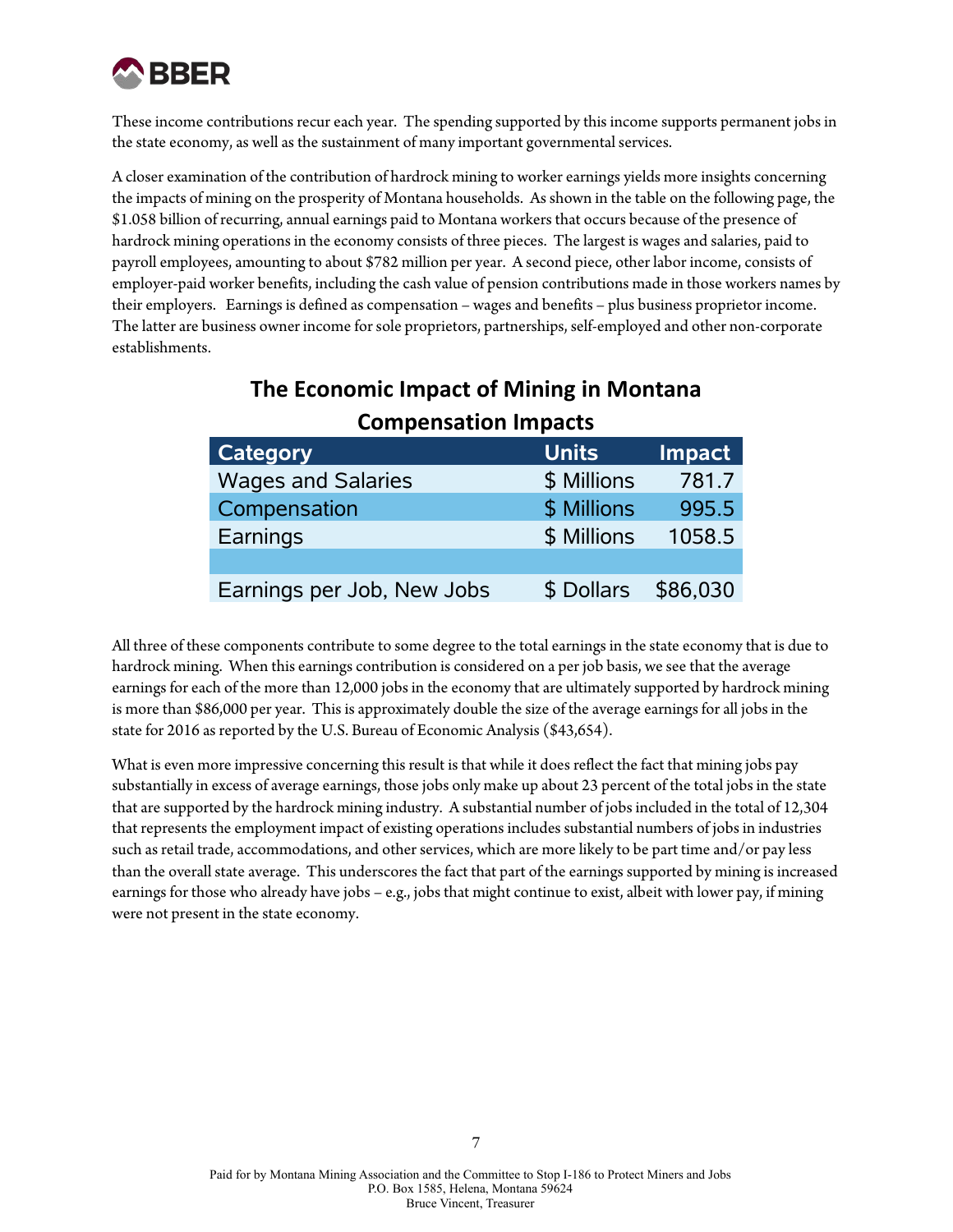

These income contributions recur each year. The spending supported by this income supports permanent jobs in the state economy, as well as the sustainment of many important governmental services.

A closer examination of the contribution of hardrock mining to worker earnings yields more insights concerning the impacts of mining on the prosperity of Montana households. As shown in the table on the following page, the \$1.058 billion of recurring, annual earnings paid to Montana workers that occurs because of the presence of hardrock mining operations in the economy consists of three pieces. The largest is wages and salaries, paid to payroll employees, amounting to about \$782 million per year. A second piece, other labor income, consists of employer-paid worker benefits, including the cash value of pension contributions made in those workers names by their employers. Earnings is defined as compensation – wages and benefits – plus business proprietor income. The latter are business owner income for sole proprietors, partnerships, self-employed and other non-corporate establishments.

| COMPENSATION MILITARIES    |              |          |  |  |
|----------------------------|--------------|----------|--|--|
| <b>Category</b>            | <b>Units</b> | Impact   |  |  |
| <b>Wages and Salaries</b>  | \$ Millions  | 781.7    |  |  |
| Compensation               | \$ Millions  | 995.5    |  |  |
| Earnings                   | \$ Millions  | 1058.5   |  |  |
|                            |              |          |  |  |
| Earnings per Job, New Jobs | \$ Dollars   | \$86,030 |  |  |

#### **The Economic Impact of Mining in Montana Compensation Impacts**

All three of these components contribute to some degree to the total earnings in the state economy that is due to hardrock mining. When this earnings contribution is considered on a per job basis, we see that the average earnings for each of the more than 12,000 jobs in the economy that are ultimately supported by hardrock mining is more than \$86,000 per year. This is approximately double the size of the average earnings for all jobs in the state for 2016 as reported by the U.S. Bureau of Economic Analysis (\$43,654).

What is even more impressive concerning this result is that while it does reflect the fact that mining jobs pay substantially in excess of average earnings, those jobs only make up about 23 percent of the total jobs in the state that are supported by the hardrock mining industry. A substantial number of jobs included in the total of 12,304 that represents the employment impact of existing operations includes substantial numbers of jobs in industries such as retail trade, accommodations, and other services, which are more likely to be part time and/or pay less than the overall state average. This underscores the fact that part of the earnings supported by mining is increased earnings for those who already have jobs – e.g., jobs that might continue to exist, albeit with lower pay, if mining were not present in the state economy.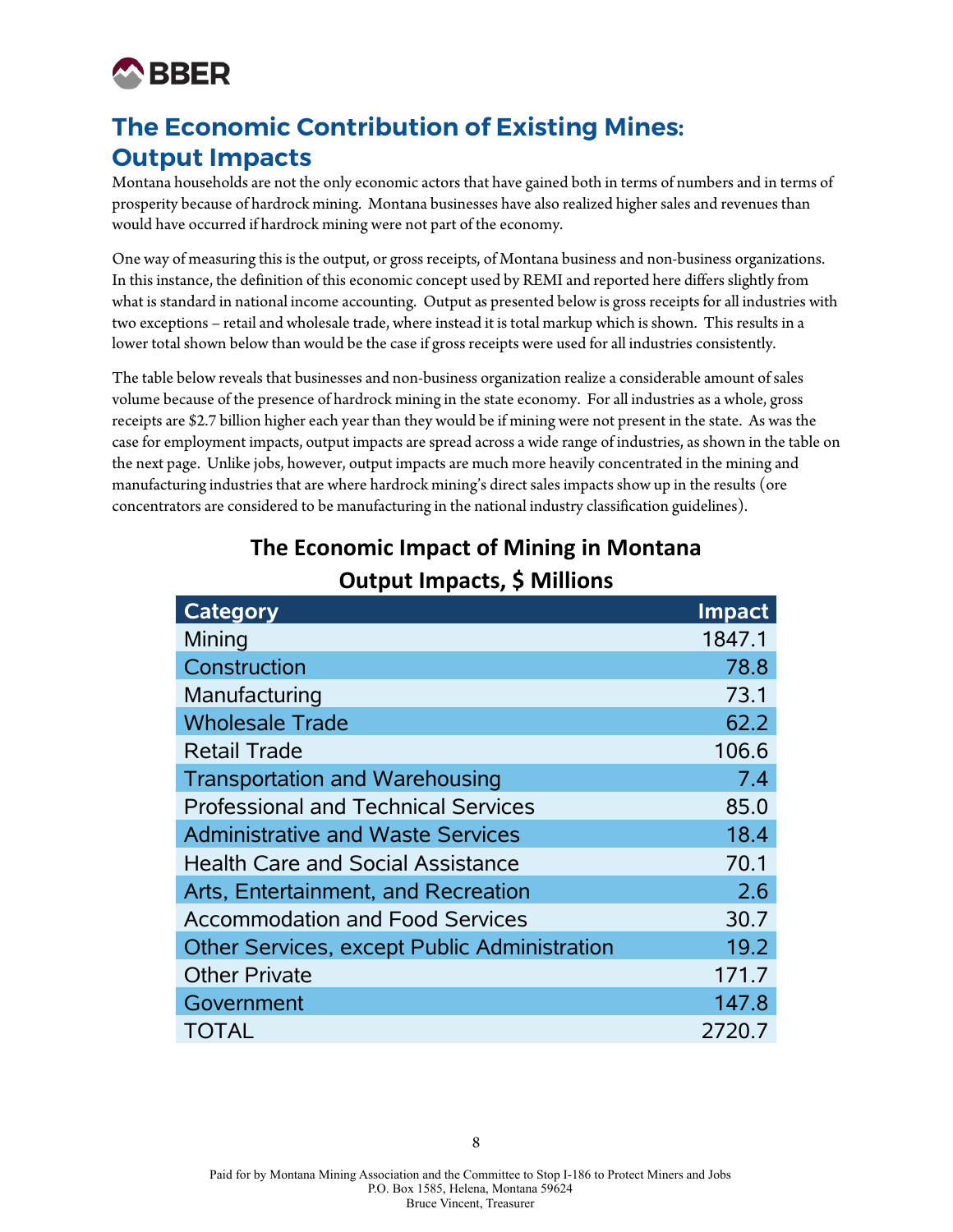

## **The Economic Contribution of Existing Mines: Output Impacts**

Montana households are not the only economic actors that have gained both in terms of numbers and in terms of prosperity because of hardrock mining. Montana businesses have also realized higher sales and revenues than would have occurred if hardrock mining were not part of the economy.

One way of measuring this is the output, or gross receipts, of Montana business and non-business organizations. In this instance, the definition of this economic concept used by REMI and reported here differs slightly from what is standard in national income accounting. Output as presented below is gross receipts for all industries with two exceptions – retail and wholesale trade, where instead it is total markup which is shown. This results in a lower total shown below than would be the case if gross receipts were used for all industries consistently.

The table below reveals that businesses and non-business organization realize a considerable amount of sales volume because of the presence of hardrock mining in the state economy. For all industries as a whole, gross receipts are \$2.7 billion higher each year than they would be if mining were not present in the state. As was the case for employment impacts, output impacts are spread across a wide range of industries, as shown in the table on the next page. Unlike jobs, however, output impacts are much more heavily concentrated in the mining and manufacturing industries that are where hardrock mining's direct sales impacts show up in the results (ore concentrators are considered to be manufacturing in the national industry classification guidelines).

| Category                                     | <b>Impact</b> |
|----------------------------------------------|---------------|
| Mining                                       | 1847.1        |
| Construction                                 | 78.8          |
| Manufacturing                                | 73.1          |
| <b>Wholesale Trade</b>                       | 62.2          |
| <b>Retail Trade</b>                          | 106.6         |
| <b>Transportation and Warehousing</b>        | 7.4           |
| <b>Professional and Technical Services</b>   | 85.0          |
| <b>Administrative and Waste Services</b>     | 18.4          |
| <b>Health Care and Social Assistance</b>     | 70.1          |
| Arts, Entertainment, and Recreation          | 2.6           |
| <b>Accommodation and Food Services</b>       | 30.7          |
| Other Services, except Public Administration | 19.2          |
| <b>Other Private</b>                         | 171.7         |
| Government                                   | 147.8         |
| TOTAL                                        | 2720.7        |

#### **The Economic Impact of Mining in Montana Output Impacts, \$ Millions**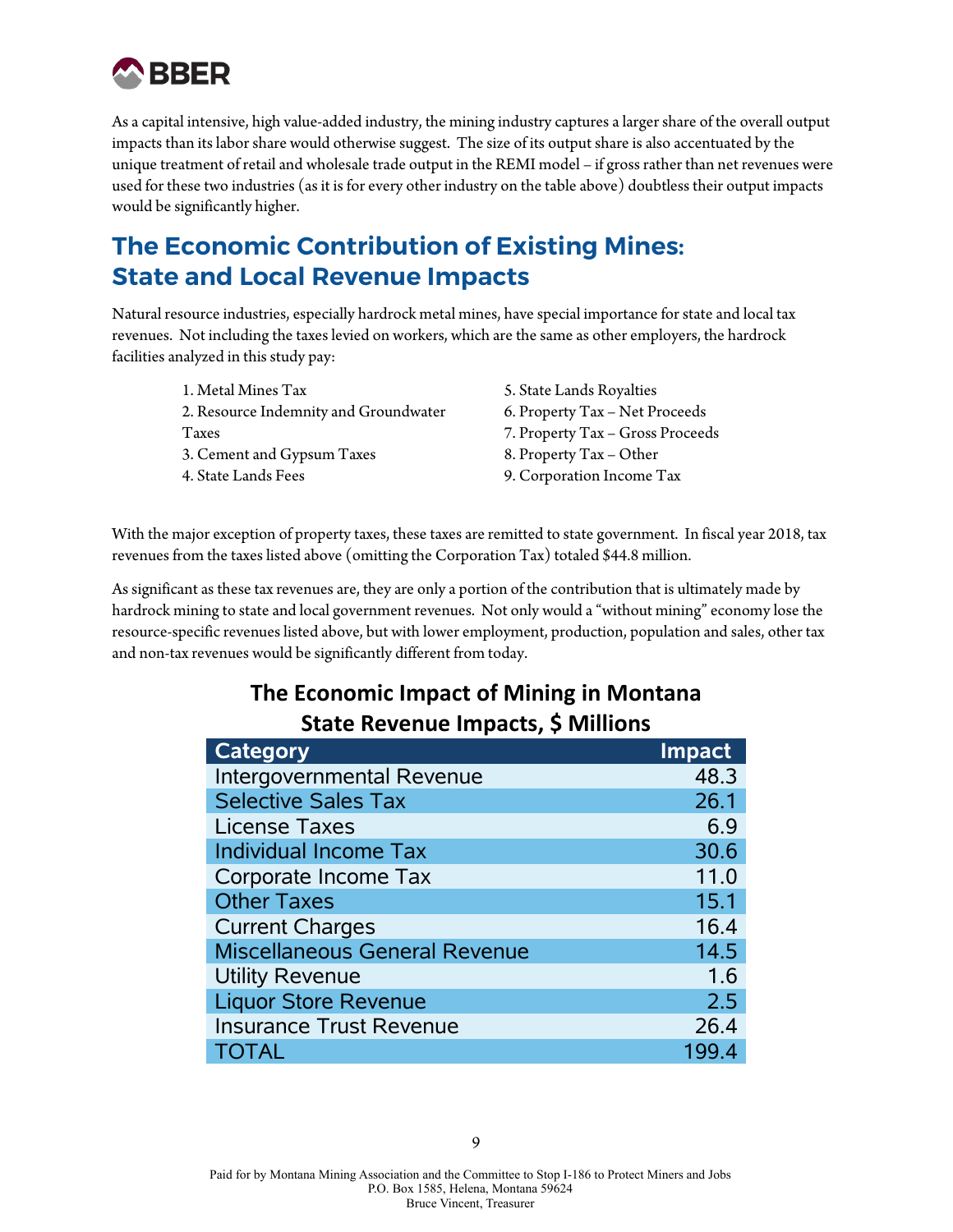

As a capital intensive, high value-added industry, the mining industry captures a larger share of the overall output impacts than its labor share would otherwise suggest. The size of its output share is also accentuated by the unique treatment of retail and wholesale trade output in the REMI model – if gross rather than net revenues were used for these two industries (as it is for every other industry on the table above) doubtless their output impacts would be significantly higher.

## **The Economic Contribution of Existing Mines: State and Local Revenue Impacts**

Natural resource industries, especially hardrock metal mines, have special importance for state and local tax revenues. Not including the taxes levied on workers, which are the same as other employers, the hardrock facilities analyzed in this study pay:

- 1. Metal Mines Tax 2. Resource Indemnity and Groundwater Taxes 3. Cement and Gypsum Taxes 4. State Lands Fees
- 5. State Lands Royalties 6. Property Tax – Net Proceeds 7. Property Tax – Gross Proceeds 8. Property Tax – Other 9. Corporation Income Tax

With the major exception of property taxes, these taxes are remitted to state government. In fiscal year 2018, tax revenues from the taxes listed above (omitting the Corporation Tax) totaled \$44.8 million.

As significant as these tax revenues are, they are only a portion of the contribution that is ultimately made by hardrock mining to state and local government revenues. Not only would a "without mining" economy lose the resource-specific revenues listed above, but with lower employment, production, population and sales, other tax and non-tax revenues would be significantly different from today.

#### **The Economic Impact of Mining in Montana State Revenue Impacts, \$ Millions**

| <b>Category</b>                      | Impact |
|--------------------------------------|--------|
| Intergovernmental Revenue            | 48.3   |
| <b>Selective Sales Tax</b>           | 26.1   |
| <b>License Taxes</b>                 | 6.9    |
| Individual Income Tax                | 30.6   |
| Corporate Income Tax                 | 11.0   |
| <b>Other Taxes</b>                   | 15.1   |
| <b>Current Charges</b>               | 16.4   |
| <b>Miscellaneous General Revenue</b> | 14.5   |
| <b>Utility Revenue</b>               | 1.6    |
| <b>Liquor Store Revenue</b>          | 2.5    |
| <b>Insurance Trust Revenue</b>       | 26.4   |
| <b>TOTAL</b>                         | 199.4  |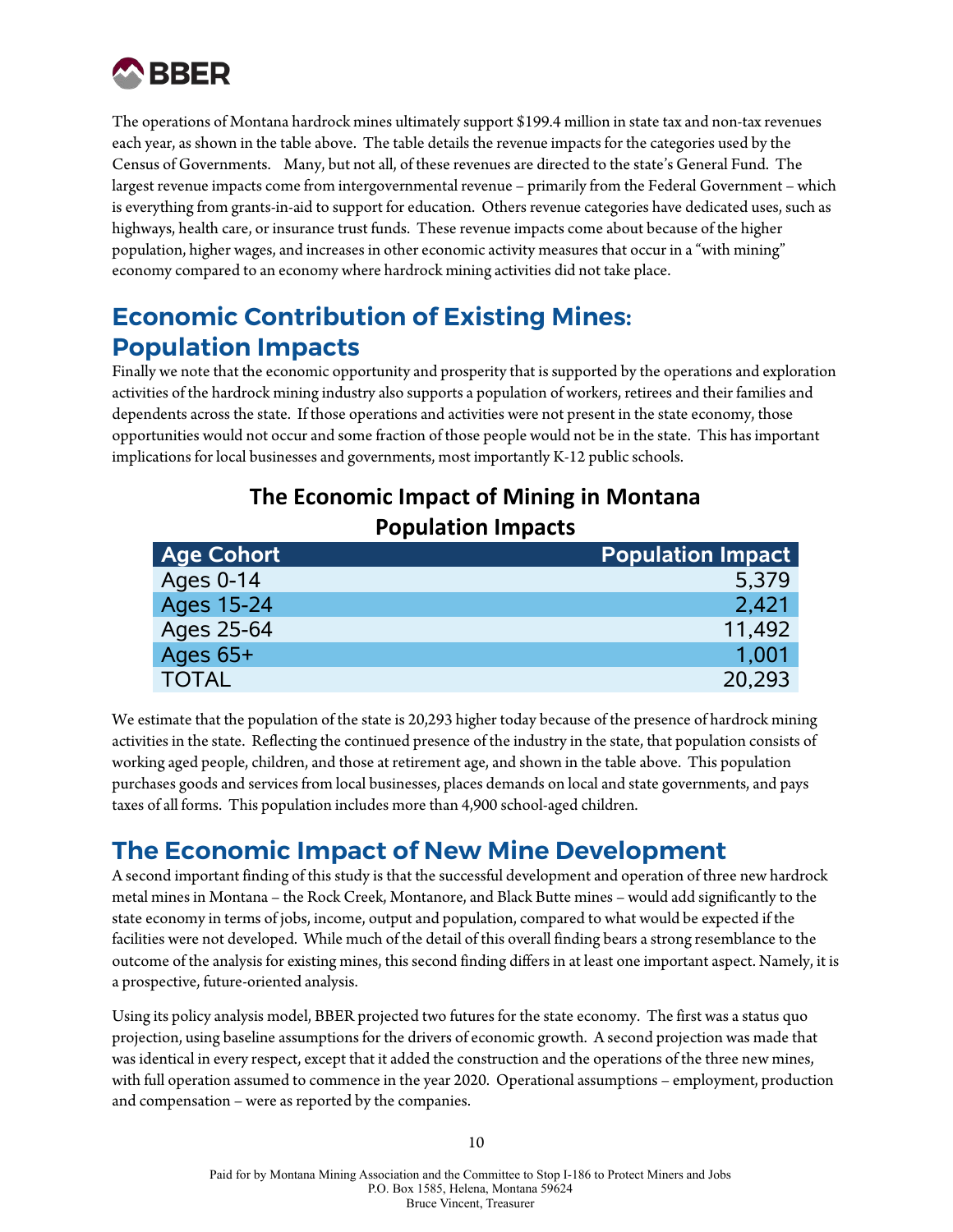

The operations of Montana hardrock mines ultimately support \$199.4 million in state tax and non-tax revenues each year, as shown in the table above. The table details the revenue impacts for the categories used by the Census of Governments. Many, but not all, of these revenues are directed to the state's General Fund. The largest revenue impacts come from intergovernmental revenue – primarily from the Federal Government – which is everything from grants-in-aid to support for education. Others revenue categories have dedicated uses, such as highways, health care, or insurance trust funds. These revenue impacts come about because of the higher population, higher wages, and increases in other economic activity measures that occur in a "with mining" economy compared to an economy where hardrock mining activities did not take place.

## **Economic Contribution of Existing Mines: Population Impacts**

Finally we note that the economic opportunity and prosperity that is supported by the operations and exploration activities of the hardrock mining industry also supports a population of workers, retirees and their families and dependents across the state. If those operations and activities were not present in the state economy, those opportunities would not occur and some fraction of those people would not be in the state. This has important implications for local businesses and governments, most importantly K-12 public schools.

#### **The Economic Impact of Mining in Montana Population Impacts**

| <b>Age Cohort</b> | <b>Population Impact</b> |
|-------------------|--------------------------|
| <b>Ages 0-14</b>  | 5,379                    |
| Ages 15-24        | 2,421                    |
| Ages 25-64        | 11,492                   |
| Ages $65+$        | 1.001                    |
| <b>TOTAL</b>      | 20.293                   |

We estimate that the population of the state is 20,293 higher today because of the presence of hardrock mining activities in the state. Reflecting the continued presence of the industry in the state, that population consists of working aged people, children, and those at retirement age, and shown in the table above. This population purchases goods and services from local businesses, places demands on local and state governments, and pays taxes of all forms. This population includes more than 4,900 school-aged children.

#### **The Economic Impact of New Mine Development**

A second important finding of this study is that the successful development and operation of three new hardrock metal mines in Montana – the Rock Creek, Montanore, and Black Butte mines – would add significantly to the state economy in terms of jobs, income, output and population, compared to what would be expected if the facilities were not developed. While much of the detail of this overall finding bears a strong resemblance to the outcome of the analysis for existing mines, this second finding differs in at least one important aspect. Namely, it is a prospective, future-oriented analysis.

Using its policy analysis model, BBER projected two futures for the state economy. The first was a status quo projection, using baseline assumptions for the drivers of economic growth. A second projection was made that was identical in every respect, except that it added the construction and the operations of the three new mines, with full operation assumed to commence in the year 2020. Operational assumptions – employment, production and compensation – were as reported by the companies.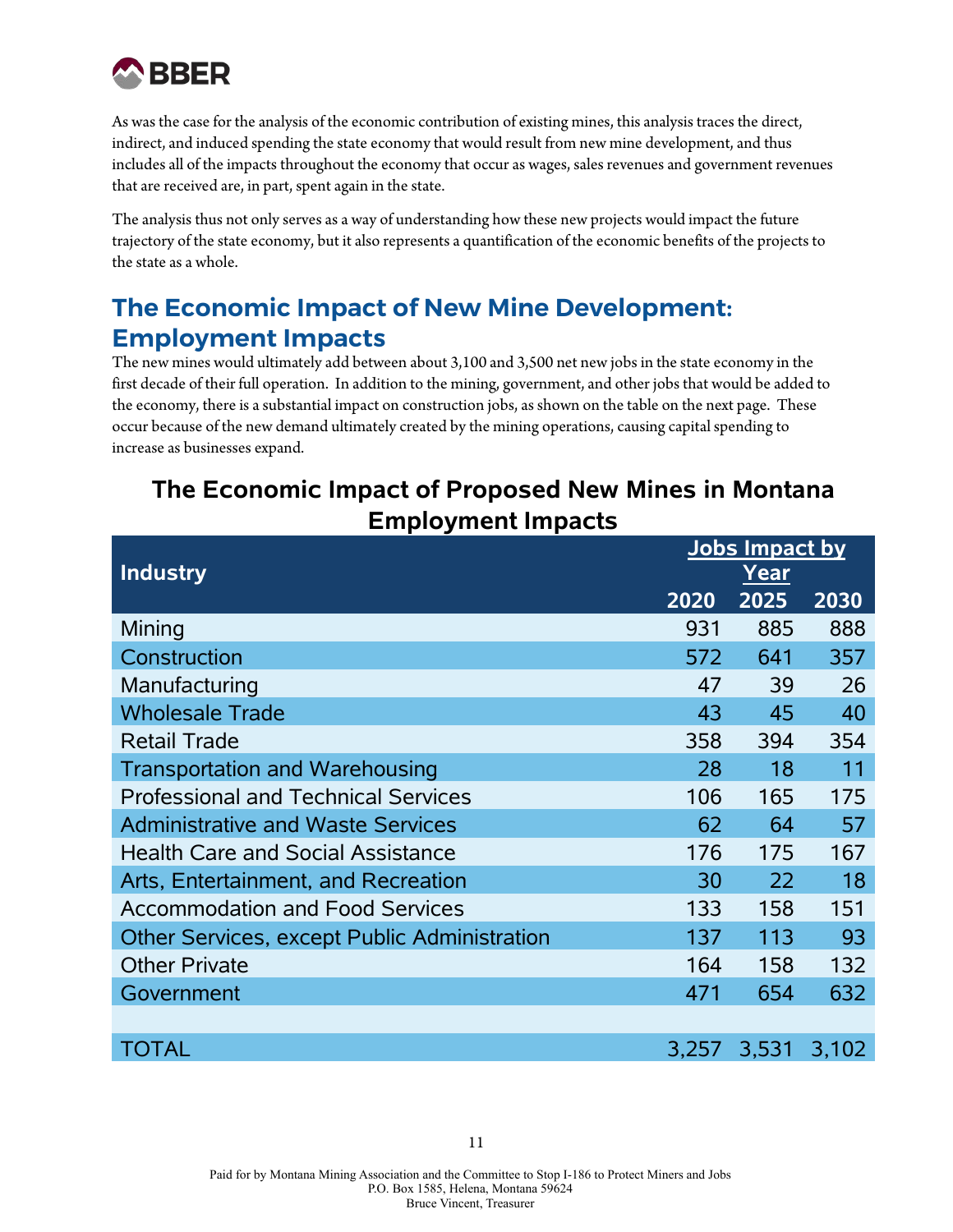

As was the case for the analysis of the economic contribution of existing mines, this analysis traces the direct, indirect, and induced spending the state economy that would result from new mine development, and thus includes all of the impacts throughout the economy that occur as wages, sales revenues and government revenues that are received are, in part, spent again in the state.

The analysis thus not only serves as a way of understanding how these new projects would impact the future trajectory of the state economy, but it also represents a quantification of the economic benefits of the projects to the state as a whole.

## **The Economic Impact of New Mine Development: Employment Impacts**

The new mines would ultimately add between about 3,100 and 3,500 net new jobs in the state economy in the first decade of their full operation. In addition to the mining, government, and other jobs that would be added to the economy, there is a substantial impact on construction jobs, as shown on the table on the next page. These occur because of the new demand ultimately created by the mining operations, causing capital spending to increase as businesses expand.

## **The Economic Impact of Proposed New Mines in Montana Employment Impacts**

|                                                     |       | Jobs Impact by |       |
|-----------------------------------------------------|-------|----------------|-------|
| <b>Industry</b>                                     |       | Year           |       |
|                                                     | 2020  | 2025           | 2030  |
| Mining                                              | 931   | 885            | 888   |
| Construction                                        | 572   | 641            | 357   |
| Manufacturing                                       | 47    | 39             | 26    |
| <b>Wholesale Trade</b>                              | 43    | 45             | 40    |
| <b>Retail Trade</b>                                 | 358   | 394            | 354   |
| <b>Transportation and Warehousing</b>               | 28    | 18             | 11    |
| <b>Professional and Technical Services</b>          | 106   | 165            | 175   |
| <b>Administrative and Waste Services</b>            | 62    | 64             | 57    |
| <b>Health Care and Social Assistance</b>            | 176   | 175            | 167   |
| Arts, Entertainment, and Recreation                 | 30    | 22             | 18    |
| <b>Accommodation and Food Services</b>              | 133   | 158            | 151   |
| <b>Other Services, except Public Administration</b> | 137   | 113            | 93    |
| <b>Other Private</b>                                | 164   | 158            | 132   |
| Government                                          | 471   | 654            | 632   |
|                                                     |       |                |       |
| TOTAL                                               | 3,257 | 3,531          | 3,102 |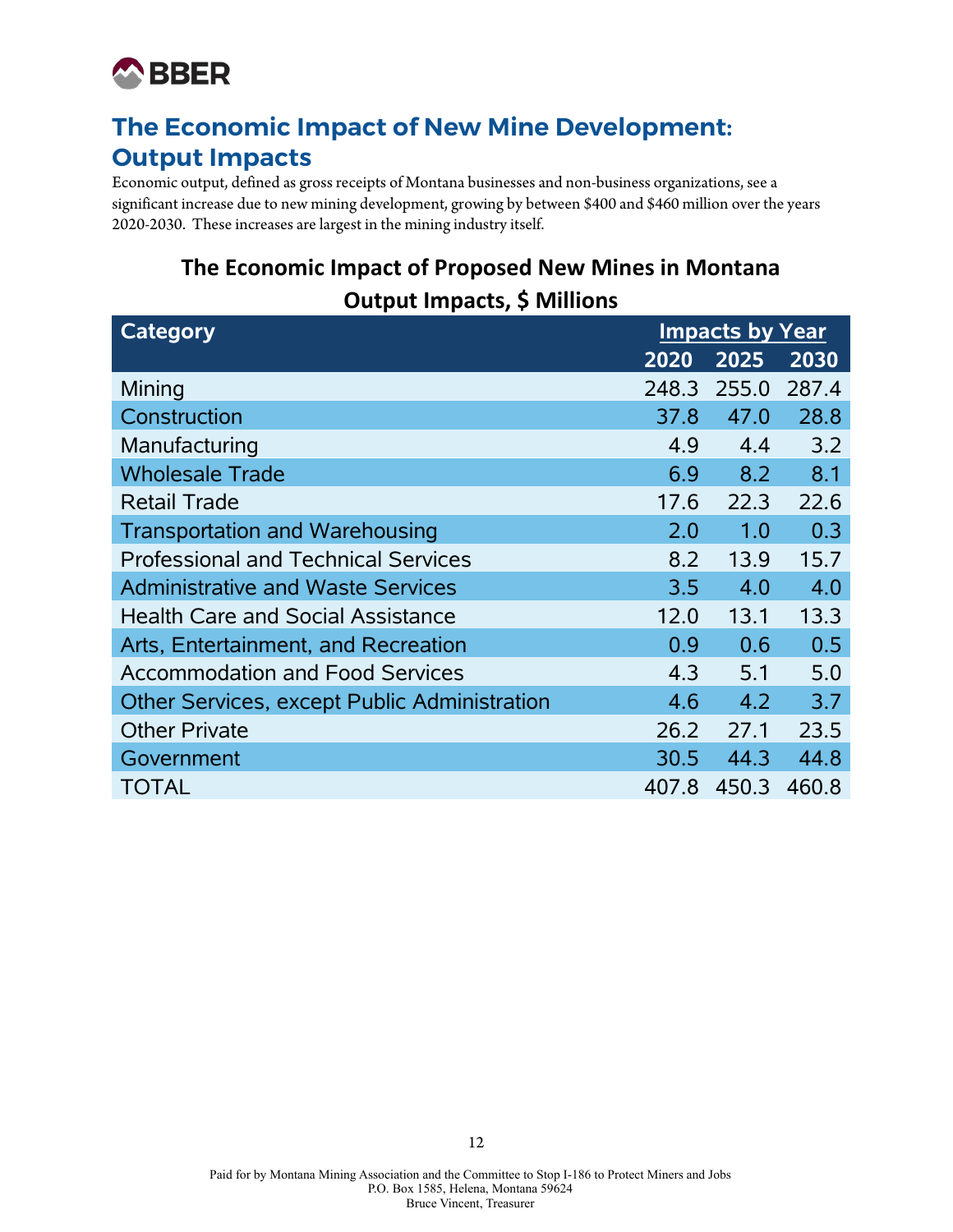

## **The Economic Impact of New Mine Development: Output Impacts**

Economic output, defined as gross receipts of Montana businesses and non-business organizations, see a significant increase due to new mining development, growing by between \$400 and \$460 million over the years 2020-2030. These increases are largest in the mining industry itself.

## **The Economic Impact of Proposed New Mines in Montana Output Impacts, \$ Millions**

| <b>Category</b>                                     | <b>Impacts by Year</b> |       |       |
|-----------------------------------------------------|------------------------|-------|-------|
|                                                     | 2020                   | 2025  | 2030  |
| Mining                                              | 248.3                  | 255.0 | 287.4 |
| Construction                                        | 37.8                   | 47.0  | 28.8  |
| Manufacturing                                       | 4.9                    | 4.4   | 3.2   |
| <b>Wholesale Trade</b>                              | 6.9                    | 8.2   | 8.1   |
| <b>Retail Trade</b>                                 | 17.6                   | 22.3  | 22.6  |
| <b>Transportation and Warehousing</b>               | 2.0                    | 1.0   | 0.3   |
| <b>Professional and Technical Services</b>          | 8.2                    | 13.9  | 15.7  |
| <b>Administrative and Waste Services</b>            | 3.5                    | 4.0   | 4.0   |
| <b>Health Care and Social Assistance</b>            | 12.0                   | 13.1  | 13.3  |
| Arts, Entertainment, and Recreation                 | 0.9                    | 0.6   | 0.5   |
| <b>Accommodation and Food Services</b>              | 4.3                    | 5.1   | 5.0   |
| <b>Other Services, except Public Administration</b> | 4.6                    | 4.2   | 3.7   |
| <b>Other Private</b>                                | 26.2                   | 27.1  | 23.5  |
| Government                                          | 30.5                   | 44.3  | 44.8  |
| <b>TOTAL</b>                                        | 407.8                  | 450.3 | 460.8 |